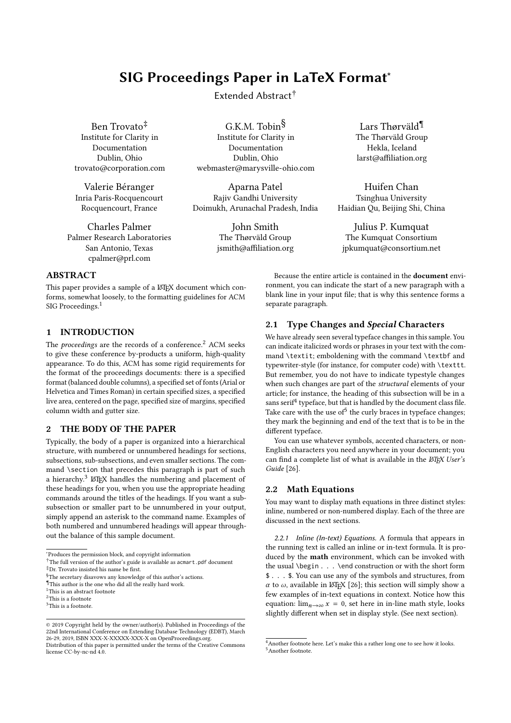# SIG Proceedings Paper in LaTeX Format<sup>∗</sup>

Extended Abstract†

Ben Trovato‡ Institute for Clarity in Documentation Dublin, Ohio trovato@corporation.com

Valerie Béranger Inria Paris-Rocquencourt Rocquencourt, France

Charles Palmer Palmer Research Laboratories San Antonio, Texas cpalmer@prl.com

G.K.M. Tobin§ Institute for Clarity in Documentation Dublin, Ohio webmaster@marysville-ohio.com

Aparna Patel Rajiv Gandhi University Doimukh, Arunachal Pradesh, India

> John Smith The Thørväld Group jsmith@affiliation.org

Lars Thørväld¶ The Thørväld Group Hekla, Iceland larst@affiliation.org

Huifen Chan Tsinghua University Haidian Qu, Beijing Shi, China

Julius P. Kumquat The Kumquat Consortium jpkumquat@consortium.net

# ABSTRACT

This paper provides a sample of a LATEX document which conforms, somewhat loosely, to the formatting guidelines for ACM SIG Proceedings.<sup>[1](#page-0-0)</sup>

# 1 INTRODUCTION

The *proceedings* are the records of a conference.<sup>[2](#page-0-1)</sup> ACM seeks to give these conference by-products a uniform, high-quality appearance. To do this, ACM has some rigid requirements for the format of the proceedings documents: there is a specified format (balanced double columns), a specified set of fonts (Arial or Helvetica and Times Roman) in certain specified sizes, a specified live area, centered on the page, specified size of margins, specified column width and gutter size.

# 2 THE BODY OF THE PAPER

Typically, the body of a paper is organized into a hierarchical structure, with numbered or unnumbered headings for sections, subsections, sub-subsections, and even smaller sections. The command \section that precedes this paragraph is part of such a hierarchy.<sup>[3](#page-0-2)</sup> LAT<sub>E</sub>X handles the numbering and placement of these headings for you, when you use the appropriate heading commands around the titles of the headings. If you want a subsubsection or smaller part to be unnumbered in your output, simply append an asterisk to the command name. Examples of both numbered and unnumbered headings will appear throughout the balance of this sample document.

Because the entire article is contained in the document environment, you can indicate the start of a new paragraph with a blank line in your input file; that is why this sentence forms a separate paragraph.

# 2.1 Type Changes and Special Characters

We have already seen several typeface changes in this sample. You can indicate italicized words or phrases in your text with the command \textit; emboldening with the command \textbf and typewriter-style (for instance, for computer code) with \texttt. But remember, you do not have to indicate typestyle changes when such changes are part of the *structural* elements of your article; for instance, the heading of this subsection will be in a sans serif $4$  typeface, but that is handled by the document class file. Take care with the use of  $5$  the curly braces in type face changes: they mark the beginning and end of the text that is to be in the different typeface.

You can use whatever symbols, accented characters, or non-English characters you need anywhere in your document; you can find a complete list of what is available in the  $\cancel{E}$ FFX User's Guide [\[26\]](#page-3-0).

# 2.2 Math Equations

You may want to display math equations in three distinct styles: inline, numbered or non-numbered display. Each of the three are discussed in the next sections.

2.2.1 Inline (In-text) Equations. A formula that appears in the running text is called an inline or in-text formula. It is produced by the math environment, which can be invoked with the usual \begin . . . \end construction or with the short form \$ . . . \$. You can use any of the symbols and structures, from α to  $ω$ , available in LATEX [\[26\]](#page-3-0); this section will simply show a few examples of in-text equations in context. Notice how this equation:  $\lim_{n\to\infty} x = 0$ , set here in in-line math style, looks elightly different when set in display style (See next section) slightly different when set in display style. (See next section).

<sup>∗</sup>Produces the permission block, and copyright information

<sup>&</sup>lt;sup>†</sup>The full version of the author's guide is available as acmart.pdf document ‡Dr. Trovato insisted his name be first.

<sup>&</sup>lt;sup>§</sup>The secretary disavows any knowledge of this author's actions.

<sup>¶</sup>This author is the one who did all the really hard work.

<span id="page-0-0"></span> $\rm ^1This$  is an abstract footnote

<span id="page-0-1"></span> $\rm ^2This$  is a footnote

<span id="page-0-2"></span> $^3$  This is a footnote.

<sup>©</sup> 2019 Copyright held by the owner/author(s). Published in Proceedings of the 22nd International Conference on Extending Database Technology (EDBT), March 26-29, 2019, ISBN XXX-X-XXXXX-XXX-X on OpenProceedings.org.

Distribution of this paper is permitted under the terms of the Creative Commons license CC-by-nc-nd 4.0.

<span id="page-0-4"></span><span id="page-0-3"></span><sup>&</sup>lt;sup>4</sup> Another footnote here. Let's make this a rather long one to see how it looks. <sup>5</sup>Another footnote.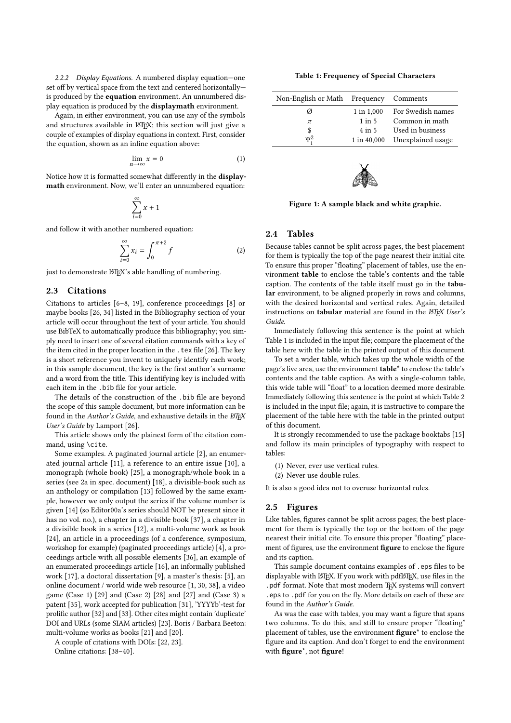2.2.2 Display Equations. A numbered display equation—one set off by vertical space from the text and centered horizontally is produced by the equation environment. An unnumbered display equation is produced by the displaymath environment.

Again, in either environment, you can use any of the symbols and structures available in LATEX; this section will just give a couple of examples of display equations in context. First, consider the equation, shown as an inline equation above:

$$
\lim_{n \to \infty} x = 0 \tag{1}
$$

Notice how it is formatted somewhat differently in the displaymath environment. Now, we'll enter an unnumbered equation:

$$
\sum_{i=0}^{\infty} x + 1
$$

and follow it with another numbered equation:

$$
\sum_{i=0}^{\infty} x_i = \int_0^{\pi+2} f \tag{2}
$$

just to demonstrate LAT<sub>E</sub>X's able handling of numbering.

## 2.3 Citations

Citations to articles [\[6–](#page-3-1)[8,](#page-3-2) [19\]](#page-3-3), conference proceedings [\[8\]](#page-3-2) or maybe books [\[26,](#page-3-0) [34\]](#page-3-4) listed in the Bibliography section of your article will occur throughout the text of your article. You should use BibTeX to automatically produce this bibliography; you simply need to insert one of several citation commands with a key of the item cited in the proper location in the . tex file [\[26\]](#page-3-0). The key is a short reference you invent to uniquely identify each work; in this sample document, the key is the first author's surname and a word from the title. This identifying key is included with each item in the .bib file for your article.

The details of the construction of the .bib file are beyond the scope of this sample document, but more information can be found in the Author's Guide, and exhaustive details in the  $\cancel{B T}$   $\cancel{F}$ X User's Guide by Lamport [\[26\]](#page-3-0).

This article shows only the plainest form of the citation command, using \cite.

Some examples. A paginated journal article [\[2\]](#page-3-5), an enumerated journal article [\[11\]](#page-3-6), a reference to an entire issue [\[10\]](#page-3-7), a monograph (whole book) [\[25\]](#page-3-8), a monograph/whole book in a series (see 2a in spec. document) [\[18\]](#page-3-9), a divisible-book such as an anthology or compilation [\[13\]](#page-3-10) followed by the same example, however we only output the series if the volume number is given [\[14\]](#page-3-11) (so Editor00a's series should NOT be present since it has no vol. no.), a chapter in a divisible book [\[37\]](#page-3-12), a chapter in a divisible book in a series [\[12\]](#page-3-13), a multi-volume work as book [\[24\]](#page-3-14), an article in a proceedings (of a conference, symposium, workshop for example) (paginated proceedings article) [\[4\]](#page-3-15), a proceedings article with all possible elements [\[36\]](#page-3-16), an example of an enumerated proceedings article [\[16\]](#page-3-17), an informally published work [\[17\]](#page-3-18), a doctoral dissertation [\[9\]](#page-3-19), a master's thesis: [\[5\]](#page-3-20), an online document / world wide web resource [\[1,](#page-2-0) [30,](#page-3-21) [38\]](#page-3-22), a video game (Case 1) [\[29\]](#page-3-23) and (Case 2) [\[28\]](#page-3-24) and [\[27\]](#page-3-25) and (Case 3) a patent [\[35\]](#page-3-26), work accepted for publication [\[31\]](#page-3-27), 'YYYYb'-test for prolific author [\[32\]](#page-3-28) and [\[33\]](#page-3-29). Other cites might contain 'duplicate' DOI and URLs (some SIAM articles) [\[23\]](#page-3-30). Boris / Barbara Beeton: multi-volume works as books [\[21\]](#page-3-31) and [\[20\]](#page-3-32).

A couple of citations with DOIs: [\[22,](#page-3-33) [23\]](#page-3-30). Online citations: [\[38](#page-3-22)[–40\]](#page-3-34).

Table 1: Frequency of Special Characters

<span id="page-1-0"></span>

| Non-English or Math Frequency Comments |             |                   |
|----------------------------------------|-------------|-------------------|
| Ø                                      | 1 in 1,000  | For Swedish names |
| π                                      | $1$ in $5$  | Common in math    |
| $\frac{\$}{\Psi_1^2}$                  | $4$ in $5$  | Used in business  |
|                                        | 1 in 40,000 | Unexplained usage |
|                                        |             |                   |



Figure 1: A sample black and white graphic.

# 2.4 Tables

Because tables cannot be split across pages, the best placement for them is typically the top of the page nearest their initial cite. To ensure this proper "floating" placement of tables, use the environment table to enclose the table's contents and the table caption. The contents of the table itself must go in the tabular environment, to be aligned properly in rows and columns, with the desired horizontal and vertical rules. Again, detailed instructions on tabular material are found in the LATEX User's Guide.

Immediately following this sentence is the point at which Table [1](#page-1-0) is included in the input file; compare the placement of the table here with the table in the printed output of this document.

To set a wider table, which takes up the whole width of the page's live area, use the environment table<sup>\*</sup> to enclose the table's contents and the table caption. As with a single-column table, this wide table will "float" to a location deemed more desirable. Immediately following this sentence is the point at which Table [2](#page-2-1) is included in the input file; again, it is instructive to compare the placement of the table here with the table in the printed output of this document.

It is strongly recommended to use the package booktabs [\[15\]](#page-3-35) and follow its main principles of typography with respect to tables:

(1) Never, ever use vertical rules.

(2) Never use double rules.

It is also a good idea not to overuse horizontal rules.

## 2.5 Figures

Like tables, figures cannot be split across pages; the best placement for them is typically the top or the bottom of the page nearest their initial cite. To ensure this proper "floating" placement of figures, use the environment figure to enclose the figure and its caption.

This sample document contains examples of .eps files to be displayable with LATEX. If you work with pdfLATEX, use files in the .pdf format. Note that most modern TFX systems will convert .eps to .pdf for you on the fly. More details on each of these are found in the Author's Guide.

As was the case with tables, you may want a figure that spans two columns. To do this, and still to ensure proper "floating" placement of tables, use the environment figure\* to enclose the figure and its caption. And don't forget to end the environment with figure\*, not figure!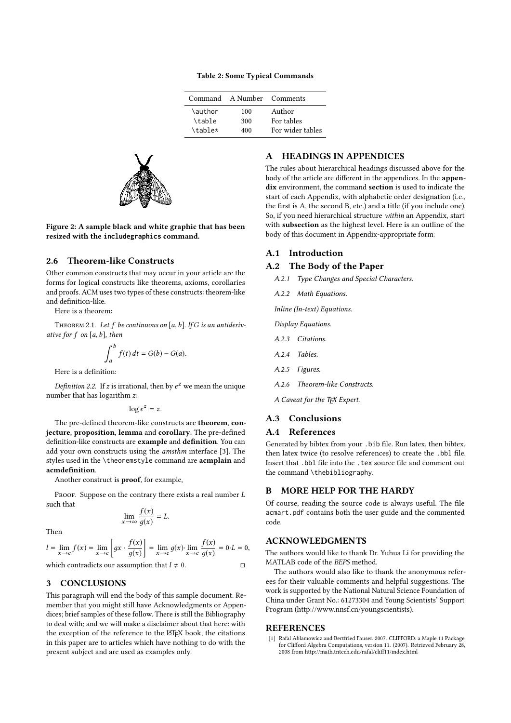## Table 2: Some Typical Commands

|         | Command A Number Comments |                  |
|---------|---------------------------|------------------|
| \author | 100                       | Author           |
| \table  | 300                       | For tables       |
| \table* | 400                       | For wider tables |

<span id="page-2-1"></span>

Figure 2: A sample black and white graphic that has been resized with the **includegraphics** command.

# 2.6 Theorem-like Constructs

Other common constructs that may occur in your article are the forms for logical constructs like theorems, axioms, corollaries and proofs. ACM uses two types of these constructs: theorem-like and definition-like.

Here is a theorem:

THEOREM 2.1. Let f be continuous on [a, b]. If G is an antiderivative for  $f$  on  $[a, b]$ , then

$$
\int_{a}^{b} f(t) dt = G(b) - G(a).
$$

a Here is a definition:

Definition 2.2. If z is irrational, then by  $e^z$  we mean the unique number that has logarithm z:

$$
\log e^z = z.
$$

The pre-defined theorem-like constructs are theorem, conjecture, proposition, lemma and corollary. The pre-defined definition-like constructs are example and definition. You can add your own constructs using the amsthm interface [\[3\]](#page-3-36). The styles used in the \theoremstyle command are acmplain and acmdefinition.

Another construct is proof, for example,

PROOF. Suppose on the contrary there exists a real number L such that

$$
\lim_{x \to \infty} \frac{f(x)}{g(x)} = L.
$$

Then

$$
l = \lim_{x \to c} f(x) = \lim_{x \to c} \left[ gx \cdot \frac{f(x)}{g(x)} \right] = \lim_{x \to c} g(x) \cdot \lim_{x \to c} \frac{f(x)}{g(x)} = 0 \cdot L = 0,
$$

which contradicts our assumption that  $l \neq 0$ .  $\Box$ 

## 3 CONCLUSIONS

This paragraph will end the body of this sample document. Remember that you might still have Acknowledgments or Appendices; brief samples of these follow. There is still the Bibliography to deal with; and we will make a disclaimer about that here: with the exception of the reference to the LATEX book, the citations in this paper are to articles which have nothing to do with the present subject and are used as examples only.

# A HEADINGS IN APPENDICES

The rules about hierarchical headings discussed above for the body of the article are different in the appendices. In the appendix environment, the command section is used to indicate the start of each Appendix, with alphabetic order designation (i.e., the first is A, the second B, etc.) and a title (if you include one). So, if you need hierarchical structure within an Appendix, start with subsection as the highest level. Here is an outline of the body of this document in Appendix-appropriate form:

## A.1 Introduction

#### A.2 The Body of the Paper

A.2.1 Type Changes and Special Characters.

A.2.2 Math Equations.

Inline (In-text) Equations.

Display Equations.

- A.2.3 Citations.
- A.2.4 Tables.
- A.2.5 Figures.
- A.2.6 Theorem-like Constructs.

A Caveat for the TEX Expert.

#### A.3 Conclusions

## A.4 References

Generated by bibtex from your .bib file. Run latex, then bibtex, then latex twice (to resolve references) to create the .bbl file. Insert that .bbl file into the .tex source file and comment out the command \thebibliography.

## B MORE HELP FOR THE HARDY

Of course, reading the source code is always useful. The file acmart.pdf contains both the user guide and the commented code.

## ACKNOWLEDGMENTS

The authors would like to thank Dr. Yuhua Li for providing the MATLAB code of the BEPS method.

The authors would also like to thank the anonymous referees for their valuable comments and helpful suggestions. The work is supported by the National Natural Science Foundation of China under Grant No.: 61273304 and Young Scientists' Support Program [\(http://www.nnsf.cn/youngscientists\)](http://www.nnsf.cn/youngscientists).

#### **REFERENCES**

<span id="page-2-0"></span>[1] Rafal Ablamowicz and Bertfried Fauser. 2007. CLIFFORD: a Maple 11 Package for Clifford Algebra Computations, version 11. (2007). Retrieved February 28, 2008 from<http://math.tntech.edu/rafal/cliff11/index.html>